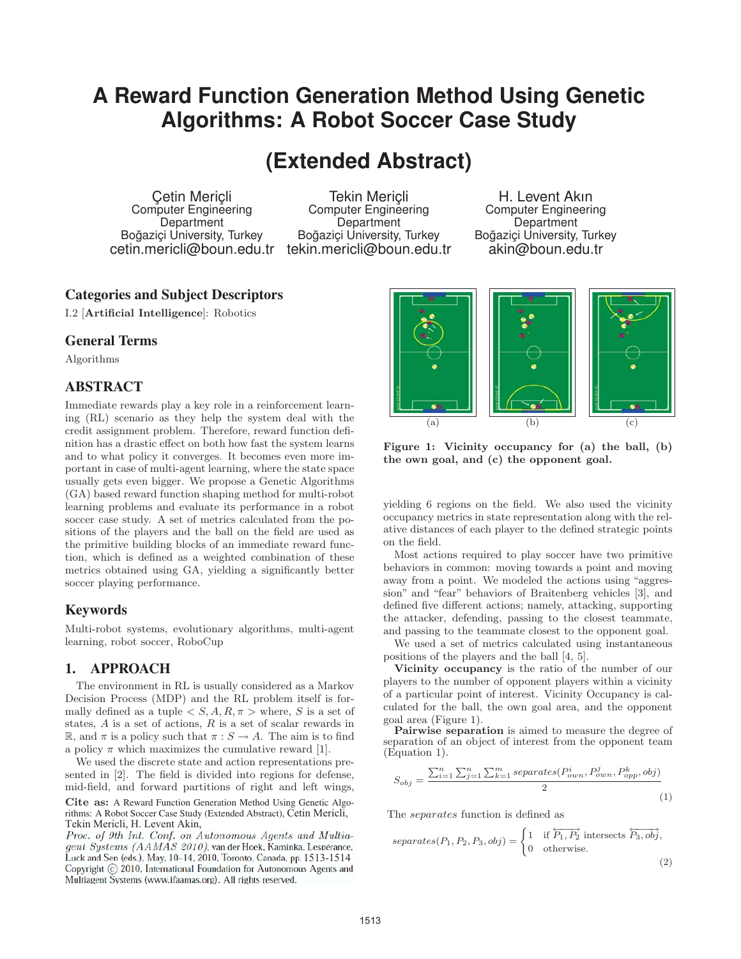# **A Reward Function Generation Method Using Genetic Algorithms: A Robot Soccer Case Study**

## **(Extended Abstract)**

Çetin Meriçli Computer Engineering Department Boğaziçi University, Turkey

cetin.mericli@boun.edu.tr tekin.mericli@boun.edu.tr Tekin Meriçli Computer Engineering **Department** Boğaziçi University, Turkey

H. Levent Akın Computer Engineering **Department** Boğaziçi University, Turkey akin@boun.edu.tr

## Categories and Subject Descriptors

I.2 [**Artificial Intelligence**]: Robotics

### General Terms

Algorithms

#### ABSTRACT

Immediate rewards play a key role in a reinforcement learning (RL) scenario as they help the system deal with the credit assignment problem. Therefore, reward function definition has a drastic effect on both how fast the system learns and to what policy it converges. It becomes even more important in case of multi-agent learning, where the state space usually gets even bigger. We propose a Genetic Algorithms (GA) based reward function shaping method for multi-robot learning problems and evaluate its performance in a robot soccer case study. A set of metrics calculated from the positions of the players and the ball on the field are used as the primitive building blocks of an immediate reward function, which is defined as a weighted combination of these metrics obtained using GA, yielding a significantly better soccer playing performance.

### Keywords

Multi-robot systems, evolutionary algorithms, multi-agent learning, robot soccer, RoboCup

### 1. APPROACH

The environment in RL is usually considered as a Markov Decision Process (MDP) and the RL problem itself is formally defined as a tuple  $\langle S, A, R, \pi \rangle$  where, S is a set of states,  $A$  is a set of actions,  $R$  is a set of scalar rewards in R, and  $\pi$  is a policy such that  $\pi : S \to A$ . The aim is to find a policy  $\pi$  which maximizes the cumulative reward [1].

We used the discrete state and action representations presented in [2]. The field is divided into regions for defense, mid-field, and forward partitions of right and left wings,

**Cite as:** A Reward Function Generation Method Using Genetic Algorithms: A Robot Soccer Case Study (Extended Abstract), Cetin Mericli, of 9th Int. Conf. on Autonomous Agents and Multiagent Sys-Tekin Mericli, H. Levent Akin,

Proc. of 9th Int. Conf. on Autonomous Agents and Multiagent Systems (AAMAS 2010), van der Hoek, Kaminka. Lespérance. Luck and Sen (eds.), May, 10-14, 2010, Toronto, Canada, pp. 1513-1514 Copyright © 2010, International Foundation for Autonomous Agents and<br>Multiagent Systems (www.ifaamas.org). All rights reserved.



**Figure 1: Vicinity occupancy for (a) the ball, (b) the own goal, and (c) the opponent goal.**

yielding 6 regions on the field. We also used the vicinity occupancy metrics in state representation along with the relative distances of each player to the defined strategic points on the field.

Most actions required to play soccer have two primitive behaviors in common: moving towards a point and moving away from a point. We modeled the actions using "aggression" and "fear" behaviors of Braitenberg vehicles [3], and defined five different actions; namely, attacking, supporting the attacker, defending, passing to the closest teammate, and passing to the teammate closest to the opponent goal.

We used a set of metrics calculated using instantaneous positions of the players and the ball [4, 5].

**Vicinity occupancy** is the ratio of the number of our players to the number of opponent players within a vicinity of a particular point of interest. Vicinity Occupancy is calculated for the ball, the own goal area, and the opponent goal area (Figure 1).

Pairwise separation is aimed to measure the degree of separation of an object of interest from the opponent team (Equation 1).

$$
S_{obj} = \frac{\sum_{i=1}^{n} \sum_{j=1}^{n} \sum_{k=1}^{m} separates(P_{own}^{i}, P_{own}^{j}, P_{opp}^{k}, obj)}{2}
$$
\n(1)

The separates function is defined as

separates
$$
(P_1, P_2, P_3, obj) = \begin{cases} 1 & \text{if } \overleftrightarrow{P_1, P_2} \text{ intersects } \overleftrightarrow{P_3, obj}, \\ 0 & \text{otherwise.} \end{cases}
$$
 (2)